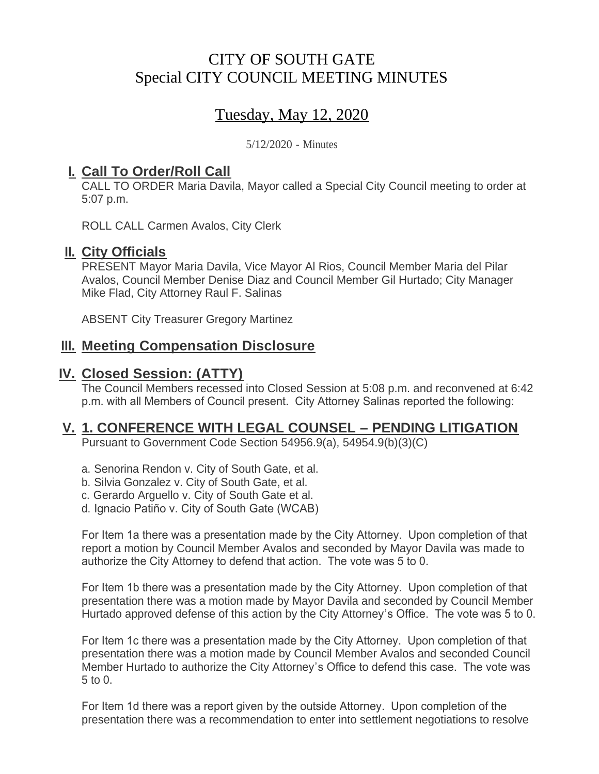# CITY OF SOUTH GATE Special CITY COUNCIL MEETING MINUTES

# Tuesday, May 12, 2020

5/12/2020 - Minutes

## <u>**I. Call To Order/Roll Call**</u>

CALL TO ORDER Maria Davila, Mayor called a Special City Council meeting to order at 5:07 p.m.

ROLL CALL Carmen Avalos, City Clerk

### **II.** City Officials

PRESENT Mayor Maria Davila, Vice Mayor Al Rios, Council Member Maria del Pilar Avalos, Council Member Denise Diaz and Council Member Gil Hurtado; City Manager Mike Flad, City Attorney Raul F. Salinas

ABSENT City Treasurer Gregory Martinez

### **Meeting Compensation Disclosure III.**

### **Closed Session: (ATTY) IV.**

The Council Members recessed into Closed Session at 5:08 p.m. and reconvened at 6:42 p.m. with all Members of Council present. City Attorney Salinas reported the following:

## **1. CONFERENCE WITH LEGAL COUNSEL – PENDING LITIGATION V.**

Pursuant to Government Code Section 54956.9(a), 54954.9(b)(3)(C)

- a. Senorina Rendon v. City of South Gate, et al.
- b. Silvia Gonzalez v. City of South Gate, et al.
- c. Gerardo Arguello v. City of South Gate et al.
- d. Ignacio Patiño v. City of South Gate (WCAB)

For Item 1a there was a presentation made by the City Attorney. Upon completion of that report a motion by Council Member Avalos and seconded by Mayor Davila was made to authorize the City Attorney to defend that action. The vote was 5 to 0.

For Item 1b there was a presentation made by the City Attorney. Upon completion of that presentation there was a motion made by Mayor Davila and seconded by Council Member Hurtado approved defense of this action by the City Attorney's Office. The vote was 5 to 0.

For Item 1c there was a presentation made by the City Attorney. Upon completion of that presentation there was a motion made by Council Member Avalos and seconded Council Member Hurtado to authorize the City Attorney's Office to defend this case. The vote was 5 to 0.

For Item 1d there was a report given by the outside Attorney. Upon completion of the presentation there was a recommendation to enter into settlement negotiations to resolve